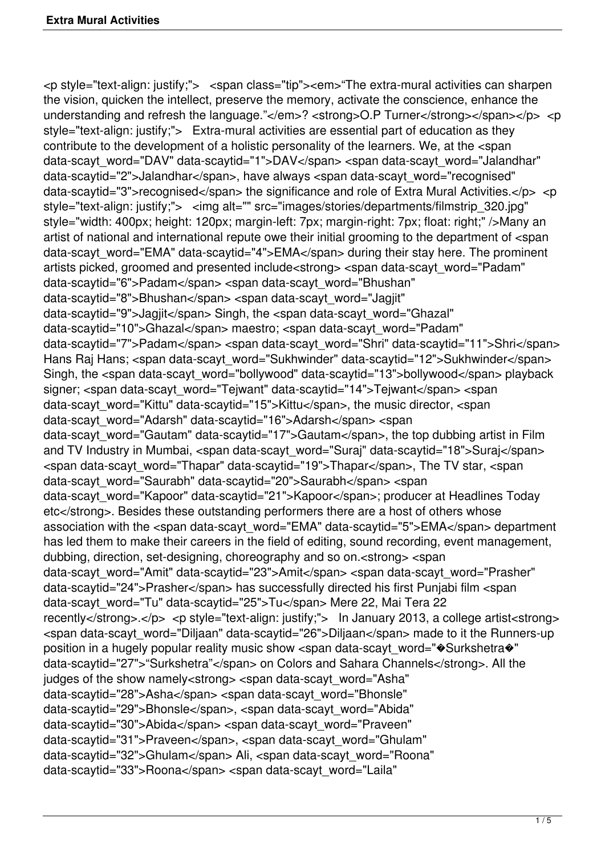<p style="text-align: justify;"> <span class="tip"><em>"The extra-mural activities can sharpen the vision, quicken the intellect, preserve the memory, activate the conscience, enhance the understanding and refresh the language."</em>? <strong>O.P Turner</strong></span></p> <p style="text-align: justify;"> Extra-mural activities are essential part of education as they contribute to the development of a holistic personality of the learners. We, at the <span data-scayt\_word="DAV" data-scaytid="1">DAV</span> <span data-scayt\_word="Jalandhar" data-scaytid="2">Jalandhar</span>, have always <span data-scayt\_word="recognised" data-scaytid="3">recognised</span> the significance and role of Extra Mural Activities.</p> <p style="text-align: justify;"> <img alt="" src="images/stories/departments/filmstrip 320.jpg" style="width: 400px; height: 120px; margin-left: 7px; margin-right: 7px; float: right;" />Many an artist of national and international repute owe their initial grooming to the department of <span data-scayt\_word="EMA" data-scaytid="4">EMA</span> during their stay here. The prominent artists picked, groomed and presented include<strong> <span data-scayt\_word="Padam" data-scaytid="6">Padam</span> <span data-scayt\_word="Bhushan" data-scaytid="8">Bhushan</span> <span data-scayt\_word="Jagjit" data-scaytid="9">Jagjit</span> Singh, the <span data-scayt\_word="Ghazal" data-scaytid="10">Ghazal</span> maestro; <span data-scayt\_word="Padam" data-scaytid="7">Padam</span> <span data-scayt\_word="Shri" data-scaytid="11">Shri</span> Hans Raj Hans; <span data-scayt\_word="Sukhwinder" data-scaytid="12">Sukhwinder</span> Singh, the <span data-scayt\_word="bollywood" data-scaytid="13">bollywood</span> playback signer; <span data-scayt\_word="Tejwant" data-scaytid="14">Tejwant</span> <span data-scayt\_word="Kittu" data-scaytid="15">Kittu</span>, the music director, <span data-scayt\_word="Adarsh" data-scaytid="16">Adarsh</span> <span data-scayt\_word="Gautam" data-scaytid="17">Gautam</span>, the top dubbing artist in Film and TV Industry in Mumbai, <span data-scayt word="Suraj" data-scaytid="18">Suraj</span> <span data-scayt\_word="Thapar" data-scaytid="19">Thapar</span>, The TV star, <span data-scayt\_word="Saurabh" data-scaytid="20">Saurabh</span> <span data-scayt\_word="Kapoor" data-scaytid="21">Kapoor</span>; producer at Headlines Today etc</strong>. Besides these outstanding performers there are a host of others whose association with the <span data-scayt\_word="EMA" data-scaytid="5">EMA</span> department has led them to make their careers in the field of editing, sound recording, event management, dubbing, direction, set-designing, choreography and so on.<strong> <span data-scayt\_word="Amit" data-scaytid="23">Amit</span> <span data-scayt\_word="Prasher" data-scaytid="24">Prasher</span> has successfully directed his first Punjabi film <span data-scayt\_word="Tu" data-scaytid="25">Tu</span> Mere 22, Mai Tera 22 recently</strong>.</p> <p style="text-align: justify;"> In January 2013, a college artist<strong> <span data-scayt\_word="Diljaan" data-scaytid="26">Diljaan</span> made to it the Runners-up position in a hugely popular reality music show <span data-scayt\_word=" $\circ$ Surkshetra $\circ$ " data-scaytid="27">"Surkshetra"</span> on Colors and Sahara Channels</strong>. All the judges of the show namely<strong> <span data-scayt\_word="Asha" data-scaytid="28">Asha</span> <span data-scayt\_word="Bhonsle" data-scaytid="29">Bhonsle</span>, <span data-scayt\_word="Abida" data-scaytid="30">Abida</span> <span data-scayt\_word="Praveen" data-scaytid="31">Praveen</span>, <span data-scayt\_word="Ghulam" data-scaytid="32">Ghulam</span> Ali, <span data-scayt\_word="Roona" data-scaytid="33">Roona</span> <span data-scayt\_word="Laila"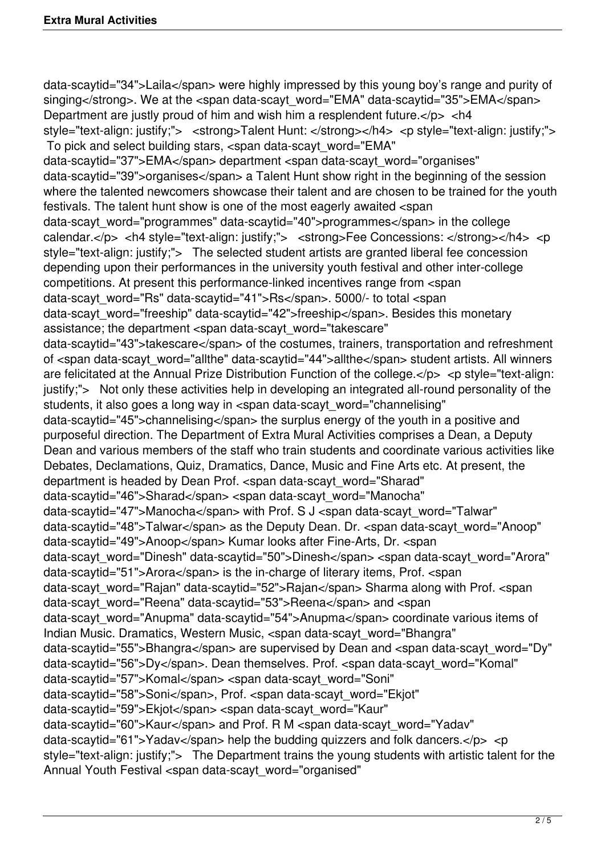data-scaytid="34">Laila</span> were highly impressed by this young boy's range and purity of singing</strong>. We at the <span data-scayt\_word="EMA" data-scaytid="35">EMA</span> Department are justly proud of him and wish him a resplendent future.</p> <h4 style="text-align: justify;"> <strong>Talent Hunt: </strong></h4> <p style="text-align: justify;"> To pick and select building stars, <span data-scayt\_word="EMA" data-scaytid="37">EMA</span> department <span data-scayt\_word="organises" data-scaytid="39">organises</span> a Talent Hunt show right in the beginning of the session where the talented newcomers showcase their talent and are chosen to be trained for the youth festivals. The talent hunt show is one of the most eagerly awaited <span data-scayt\_word="programmes" data-scaytid="40">programmes</span> in the college calendar.</p> <h4 style="text-align: justify;"> <strong>Fee Concessions: </strong></h4> <p style="text-align: justify;"> The selected student artists are granted liberal fee concession depending upon their performances in the university youth festival and other inter-college competitions. At present this performance-linked incentives range from <span data-scayt\_word="Rs" data-scaytid="41">Rs</span>. 5000/- to total <span data-scayt\_word="freeship" data-scaytid="42">freeship</span>. Besides this monetary assistance; the department <span data-scayt\_word="takescare" data-scaytid="43">takescare</span> of the costumes, trainers, transportation and refreshment of <span data-scayt\_word="allthe" data-scaytid="44">allthe</span> student artists. All winners are felicitated at the Annual Prize Distribution Function of the college. $\langle p \rangle \langle p \rangle$   $\langle p \rangle$  style="text-align: justify;"> Not only these activities help in developing an integrated all-round personality of the students, it also goes a long way in <span data-scayt word="channelising" data-scaytid="45">channelising</span> the surplus energy of the youth in a positive and purposeful direction. The Department of Extra Mural Activities comprises a Dean, a Deputy Dean and various members of the staff who train students and coordinate various activities like Debates, Declamations, Quiz, Dramatics, Dance, Music and Fine Arts etc. At present, the department is headed by Dean Prof. <span data-scayt\_word="Sharad" data-scaytid="46">Sharad</span> <span data-scayt\_word="Manocha" data-scaytid="47">Manocha</span> with Prof. S J <span data-scayt\_word="Talwar" data-scaytid="48">Talwar</span> as the Deputy Dean. Dr. <span data-scayt\_word="Anoop" data-scaytid="49">Anoop</span> Kumar looks after Fine-Arts, Dr. <span data-scayt\_word="Dinesh" data-scaytid="50">Dinesh</span> <span data-scayt\_word="Arora" data-scaytid="51">Arora</span> is the in-charge of literary items, Prof. <span data-scayt\_word="Rajan" data-scaytid="52">Rajan</span> Sharma along with Prof. <span data-scayt\_word="Reena" data-scaytid="53">Reena</span> and <span data-scayt\_word="Anupma" data-scaytid="54">Anupma</span> coordinate various items of Indian Music. Dramatics, Western Music, <span data-scayt\_word="Bhangra" data-scaytid="55">Bhangra</span> are supervised by Dean and <span data-scayt\_word="Dy" data-scaytid="56">Dy</span>. Dean themselves. Prof. <span data-scayt\_word="Komal" data-scaytid="57">Komal</span> <span data-scayt\_word="Soni" data-scaytid="58">Soni</span>, Prof. <span data-scayt\_word="Ekjot" data-scaytid="59">Ekjot</span> <span data-scayt\_word="Kaur" data-scaytid="60">Kaur</span> and Prof. R M <span data-scayt\_word="Yadav" data-scaytid="61">Yaday</span> help the budding quizzers and folk dancers.</p> <p style="text-align: justify;"> The Department trains the young students with artistic talent for the Annual Youth Festival <span data-scayt\_word="organised"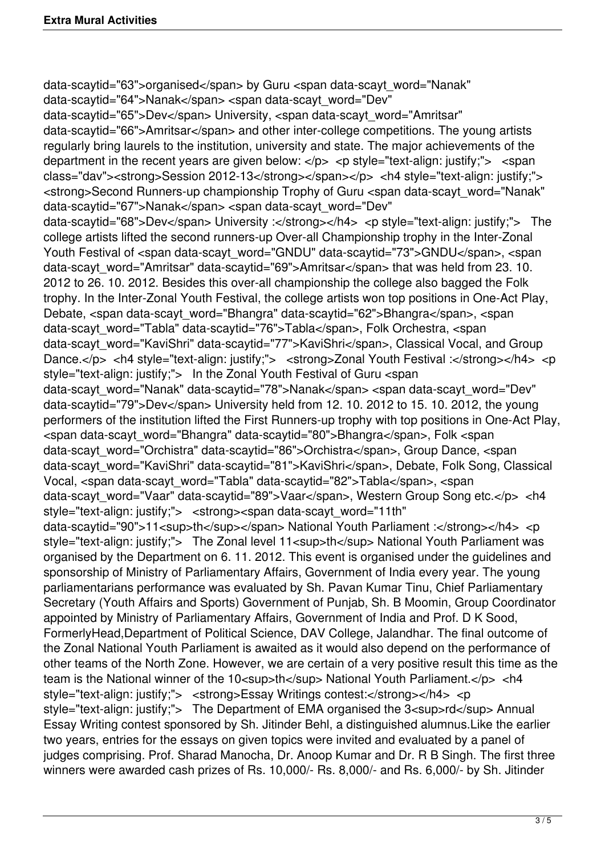data-scaytid="63">organised</span> by Guru <span data-scayt\_word="Nanak" data-scaytid="64">Nanak</span> <span data-scayt\_word="Dev" data-scaytid="65">Dev</span> University, <span data-scayt\_word="Amritsar" data-scaytid="66">Amritsar</span> and other inter-college competitions. The young artists regularly bring laurels to the institution, university and state. The major achievements of the department in the recent years are given below:  $\langle p \rangle$   $\langle p \rangle$  style="text-align: justify;">  $\langle$ span class="dav"><strong>Session 2012-13</strong></span></p><h4 style="text-align: justify;"> <strong>Second Runners-up championship Trophy of Guru <span data-scayt\_word="Nanak" data-scaytid="67">Nanak</span> <span data-scayt\_word="Dev" data-scaytid="68">Dev</span> University :</strong></h4> <p style="text-align: justify;"> The college artists lifted the second runners-up Over-all Championship trophy in the Inter-Zonal Youth Festival of <span data-scayt\_word="GNDU" data-scaytid="73">GNDU</span>, <span data-scayt\_word="Amritsar" data-scaytid="69">Amritsar</span> that was held from 23. 10. 2012 to 26. 10. 2012. Besides this over-all championship the college also bagged the Folk trophy. In the Inter-Zonal Youth Festival, the college artists won top positions in One-Act Play, Debate, <span data-scayt\_word="Bhangra" data-scaytid="62">Bhangra</span>, <span data-scayt\_word="Tabla" data-scaytid="76">Tabla</span>, Folk Orchestra, <span data-scayt\_word="KaviShri" data-scaytid="77">KaviShri</span>, Classical Vocal, and Group Dance.</p> <h4 style="text-align: justify;"> <strong>Zonal Youth Festival :</strong></h4> <p style="text-align: justify;"> In the Zonal Youth Festival of Guru <span data-scayt\_word="Nanak" data-scaytid="78">Nanak</span> <span data-scayt\_word="Dev" data-scaytid="79">Dev</span> University held from 12. 10. 2012 to 15. 10. 2012, the young performers of the institution lifted the First Runners-up trophy with top positions in One-Act Play, <span data-scayt\_word="Bhangra" data-scaytid="80">Bhangra</span>, Folk <span data-scayt\_word="Orchistra" data-scaytid="86">Orchistra</span>, Group Dance, <span data-scayt\_word="KaviShri" data-scaytid="81">KaviShri</span>, Debate, Folk Song, Classical Vocal, <span data-scayt\_word="Tabla" data-scaytid="82">Tabla</span>, <span data-scayt\_word="Vaar" data-scaytid="89">Vaar</span>, Western Group Song etc.</p> <h4 style="text-align: justify;"> <strong><span data-scayt\_word="11th" data-scaytid="90">11<sup>th</sup></span> National Youth Parliament :</strong></h4> <p style="text-align: justify;"> The Zonal level 11<sup>th</sup> National Youth Parliament was organised by the Department on 6. 11. 2012. This event is organised under the guidelines and sponsorship of Ministry of Parliamentary Affairs, Government of India every year. The young parliamentarians performance was evaluated by Sh. Pavan Kumar Tinu, Chief Parliamentary Secretary (Youth Affairs and Sports) Government of Punjab, Sh. B Moomin, Group Coordinator appointed by Ministry of Parliamentary Affairs, Government of India and Prof. D K Sood, FormerlyHead,Department of Political Science, DAV College, Jalandhar. The final outcome of the Zonal National Youth Parliament is awaited as it would also depend on the performance of other teams of the North Zone. However, we are certain of a very positive result this time as the team is the National winner of the 10<sup>th</sup> National Youth Parliament.</p></heta> style="text-align: justify;"> <strong>Essay Writings contest:</strong></h4> <p style="text-align: justify:"> The Department of EMA organised the 3<sup>rd</sup> Annual Essay Writing contest sponsored by Sh. Jitinder Behl, a distinguished alumnus.Like the earlier two years, entries for the essays on given topics were invited and evaluated by a panel of judges comprising. Prof. Sharad Manocha, Dr. Anoop Kumar and Dr. R B Singh. The first three winners were awarded cash prizes of Rs. 10,000/- Rs. 8,000/- and Rs. 6,000/- by Sh. Jitinder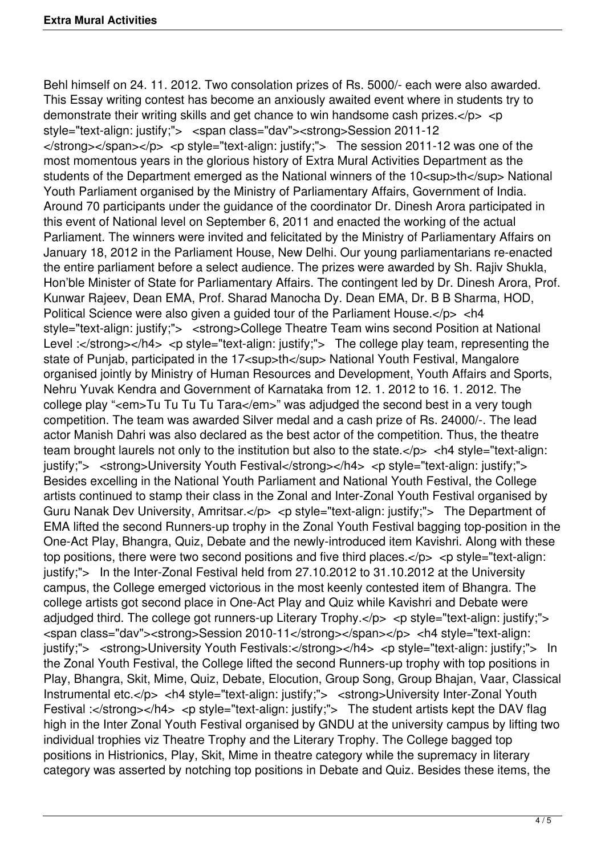Behl himself on 24. 11. 2012. Two consolation prizes of Rs. 5000/- each were also awarded. This Essay writing contest has become an anxiously awaited event where in students try to demonstrate their writing skills and get chance to win handsome cash prizes.</p> <p style="text-align: justify;"> <span class="dav"><strong>Session 2011-12  $\langle$ strong> $\langle$ span> $\langle$ p>  $\langle$ p style="text-align: justify;"> The session 2011-12 was one of the most momentous years in the glorious history of Extra Mural Activities Department as the students of the Department emerged as the National winners of the 10<sup>th</sup>National Youth Parliament organised by the Ministry of Parliamentary Affairs, Government of India. Around 70 participants under the guidance of the coordinator Dr. Dinesh Arora participated in this event of National level on September 6, 2011 and enacted the working of the actual Parliament. The winners were invited and felicitated by the Ministry of Parliamentary Affairs on January 18, 2012 in the Parliament House, New Delhi. Our young parliamentarians re-enacted the entire parliament before a select audience. The prizes were awarded by Sh. Rajiv Shukla, Hon'ble Minister of State for Parliamentary Affairs. The contingent led by Dr. Dinesh Arora, Prof. Kunwar Rajeev, Dean EMA, Prof. Sharad Manocha Dy. Dean EMA, Dr. B B Sharma, HOD, Political Science were also given a guided tour of the Parliament House.</p> <h4 style="text-align: justify;"> <strong>College Theatre Team wins second Position at National Level :</strong></h4> <p style="text-align: justify;"> The college play team, representing the state of Punjab, participated in the 17<sup>th</sup> National Youth Festival, Mangalore organised jointly by Ministry of Human Resources and Development, Youth Affairs and Sports, Nehru Yuvak Kendra and Government of Karnataka from 12. 1. 2012 to 16. 1. 2012. The college play "<em>Tu Tu Tu Tu Tara</em>" was adjudged the second best in a very tough competition. The team was awarded Silver medal and a cash prize of Rs. 24000/-. The lead actor Manish Dahri was also declared as the best actor of the competition. Thus, the theatre team brought laurels not only to the institution but also to the state. $\langle$ p>  $\langle$ h4 style="text-align: justify;"> <strong>University Youth Festival</strong></h4> <p style="text-align: justify;"> Besides excelling in the National Youth Parliament and National Youth Festival, the College artists continued to stamp their class in the Zonal and Inter-Zonal Youth Festival organised by Guru Nanak Dev University, Amritsar.</p> <p style="text-align: justify;"> The Department of EMA lifted the second Runners-up trophy in the Zonal Youth Festival bagging top-position in the One-Act Play, Bhangra, Quiz, Debate and the newly-introduced item Kavishri. Along with these top positions, there were two second positions and five third places. $\langle p \rangle \langle p \rangle$   $\langle p \rangle$  style="text-align: justify;"> In the Inter-Zonal Festival held from 27.10.2012 to 31.10.2012 at the University campus, the College emerged victorious in the most keenly contested item of Bhangra. The college artists got second place in One-Act Play and Quiz while Kavishri and Debate were adjudged third. The college got runners-up Literary Trophy. $\langle p \rangle$   $\langle p \rangle$  style="text-align: justify;"> <span class="dav"><strong>Session 2010-11</strong></span></p> <h4 style="text-align: justify;"> <strong>University Youth Festivals:</strong></h4> <p style="text-align: justify;"> In the Zonal Youth Festival, the College lifted the second Runners-up trophy with top positions in Play, Bhangra, Skit, Mime, Quiz, Debate, Elocution, Group Song, Group Bhajan, Vaar, Classical Instrumental etc.</p> <h4 style="text-align: justify;"> <strong>University Inter-Zonal Youth Festival :</strong></h4> <p style="text-align: justify:"> The student artists kept the DAV flag high in the Inter Zonal Youth Festival organised by GNDU at the university campus by lifting two individual trophies viz Theatre Trophy and the Literary Trophy. The College bagged top positions in Histrionics, Play, Skit, Mime in theatre category while the supremacy in literary category was asserted by notching top positions in Debate and Quiz. Besides these items, the